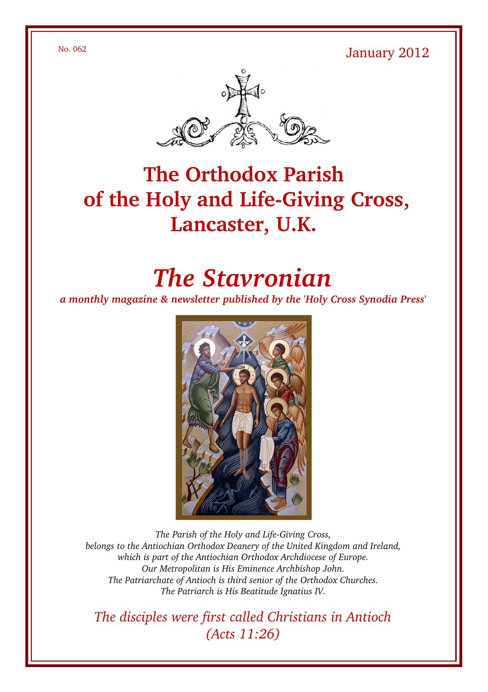No. 062 January 2012



# **The Orthodox Parish** of the Holy and Life-Giving Cross, **Lancaster, U.K.**

# *The Stavronian*

*a monthly magazine & newsletter published by the 'Holy Cross Synodia Press'*



The Parish of the Holy and Life-Giving Cross, *belongs to the Antiochian Orthodox Deanery of the United Kingdom and Ireland, which is part of the Antiochian Orthodox Archdiocese of Europe. Our Metropolitan is His Eminence Archbishop John. The Patriarchate of Antioch is third senior of the Orthodox Churches. The Patriarch is His Beatitude Ignatius IV.*

*The disciples were first called Christians in Antioch (Acts 11:26)*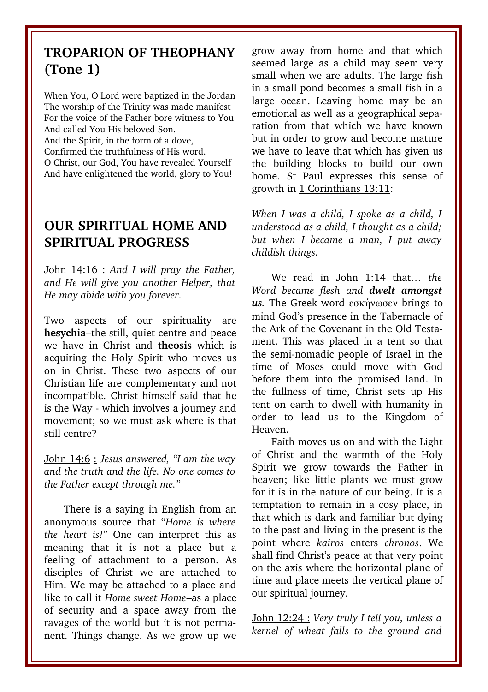#### **TROPARION OF THEOPHANY (Tone 1)**

When You, O Lord were baptized in the Jordan The worship of the Trinity was made manifest For the voice of the Father bore witness to You And called You His beloved Son.

And the Spirit, in the form of a dove, Confirmed the truthfulness of His word. O Christ, our God, You have revealed Yourself And have enlightened the world, glory to You!

### **OUR SPIRITUAL HOME AND SPIRITUAL PROGRESS**

John 14:16 : *And I will pray the Father, and He will give you another Helper, that He may abide with you forever.* 

Two aspects of our spirituality are **hesychia**–the still, quiet centre and peace we have in Christ and **theosis** which is acquiring the Holy Spirit who moves us on in Christ. These two aspects of our Christian life are complementary and not incompatible. Christ himself said that he is the Way - which involves a journey and movement; so we must ask where is that still centre?

John 14:6 : *Jesus answered, "I am the way and the truth and the life. No one comes to the Father except through me."* 

There is a saying in English from an anonymous source that "*Home is where the heart is!*" One can interpret this as meaning that it is not a place but a feeling of attachment to a person. As disciples of Christ we are attached to Him. We may be attached to a place and like to call it *Home sweet Home*–as a place of security and a space away from the ravages of the world but it is not permanent. Things change. As we grow up we

grow away from home and that which seemed large as a child may seem very small when we are adults. The large fish in a small pond becomes a small fish in a large ocean. Leaving home may be an emotional as well as a geographical separation from that which we have known but in order to grow and become mature we have to leave that which has given us the building blocks to build our own home. St Paul expresses this sense of growth in 1 Corinthians 13:11:

*When I was a child, I spoke as a child, I understood as a child, I thought as a child; but when I became a man, I put away childish things.* 

We read in John 1:14 that... the *Word became flesh and dwelt amongst us.* The Greek word εσκήνωσεν brings to mind God's presence in the Tabernacle of the Ark of the Covenant in the Old Testament. This was placed in a tent so that the semi-nomadic people of Israel in the time of Moses could move with God before them into the promised land. In the fullness of time, Christ sets up His tent on earth to dwell with humanity in order to lead us to the Kingdom of Heaven.

Faith moves us on and with the Light of Christ and the warmth of the Holy Spirit we grow towards the Father in heaven; like little plants we must grow for it is in the nature of our being. It is a temptation to remain in a cosy place, in that which is dark and familiar but dying to the past and living in the present is the point where *kairos* enters *chronos*. We shall find Christ's peace at that very point on the axis where the horizontal plane of time and place meets the vertical plane of our spiritual journey.

John 12:24 : *Very truly I tell you, unless a kernel of wheat falls to the ground and*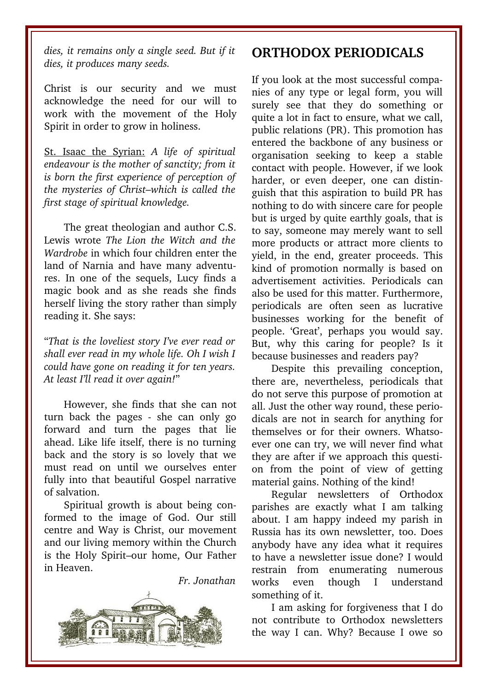*dies, it remains only a single seed. But if it dies, it produces many seeds.* 

Christ is our security and we must acknowledge the need for our will to work with the movement of the Holy Spirit in order to grow in holiness.

St. Isaac the Syrian: *A life of spiritual endeavour is the mother of sanctity; from it is born the first experience of perception of the mysteries of Christ–which is called the first stage of spiritual knowledge.* 

The great theologian and author C.S. Lewis wrote *The Lion the Witch and the Wardrobe* in which four children enter the land of Narnia and have many adventures. In one of the sequels, Lucy finds a magic book and as she reads she finds herself living the story rather than simply reading it. She says:

"*That is the loveliest story I've ever read or shall ever read in my whole life. Oh I wish I could have gone on reading it for ten years. At least I'll read it over again!*"

However, she finds that she can not turn back the pages - she can only go forward and turn the pages that lie ahead. Like life itself, there is no turning back and the story is so lovely that we must read on until we ourselves enter fully into that beautiful Gospel narrative of salvation.

Spiritual growth is about being conformed to the image of God. Our still centre and Way is Christ, our movement and our living memory within the Church is the Holy Spirit–our home, Our Father in Heaven.

*Fr. Jonathan*



#### **ORTHODOX PERIODICALS**

If you look at the most successful companies of any type or legal form, you will surely see that they do something or quite a lot in fact to ensure, what we call, public relations (PR). This promotion has entered the backbone of any business or organisation seeking to keep a stable contact with people. However, if we look harder, or even deeper, one can distinguish that this aspiration to build PR has nothing to do with sincere care for people but is urged by quite earthly goals, that is to say, someone may merely want to sell more products or attract more clients to yield, in the end, greater proceeds. This kind of promotion normally is based on advertisement activities. Periodicals can also be used for this matter. Furthermore, periodicals are often seen as lucrative businesses working for the benefit of people. 'Great', perhaps you would say. But, why this caring for people? Is it because businesses and readers pay?

Despite this prevailing conception, there are, nevertheless, periodicals that do not serve this purpose of promotion at all. Just the other way round, these periodicals are not in search for anything for themselves or for their owners. Whatsoever one can try, we will never find what they are after if we approach this question from the point of view of getting material gains. Nothing of the kind!

Regular newsletters of Orthodox parishes are exactly what I am talking about. I am happy indeed my parish in Russia has its own newsletter, too. Does anybody have any idea what it requires to have a newsletter issue done? I would restrain from enumerating numerous works even though I understand something of it.

I am asking for forgiveness that I do not contribute to Orthodox newsletters the way I can. Why? Because I owe so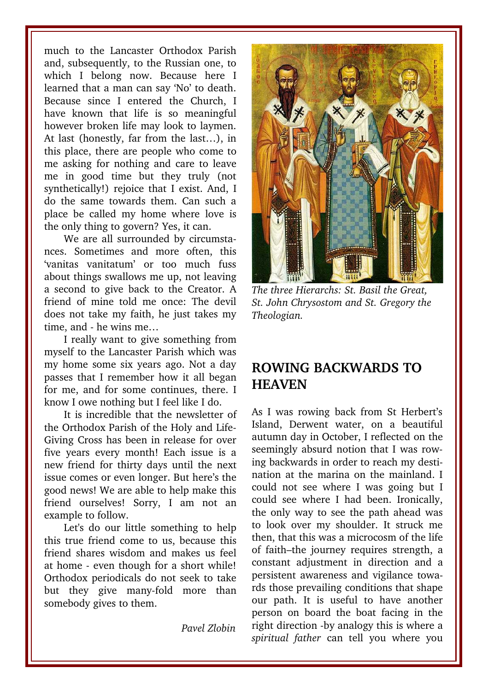much to the Lancaster Orthodox Parish and, subsequently, to the Russian one, to which I belong now. Because here I learned that a man can say 'No' to death. Because since I entered the Church, I have known that life is so meaningful however broken life may look to laymen. At last (honestly, far from the last…), in this place, there are people who come to me asking for nothing and care to leave me in good time but they truly (not synthetically!) rejoice that I exist. And, I do the same towards them. Can such a place be called my home where love is the only thing to govern? Yes, it can.

We are all surrounded by circumstances. Sometimes and more often, this 'vanitas vanitatum' or too much fuss about things swallows me up, not leaving a second to give back to the Creator. A friend of mine told me once: The devil does not take my faith, he just takes my time, and  $-$  he wins me...

I really want to give something from myself to the Lancaster Parish which was my home some six years ago. Not a day passes that I remember how it all began for me, and for some continues, there. I know I owe nothing but I feel like I do.

It is incredible that the newsletter of the Orthodox Parish of the Holy and Life-Giving Cross has been in release for over five years every month! Each issue is a new friend for thirty days until the next issue comes or even longer. But here's the good news! We are able to help make this friend ourselves! Sorry, I am not an example to follow.

Let's do our little something to help this true friend come to us, because this friend shares wisdom and makes us feel at home - even though for a short while! Orthodox periodicals do not seek to take but they give many-fold more than somebody gives to them.

*Pavel Zlobin*



*The three Hierarchs: St. Basil the Great, St. John Chrysostom and St. Gregory the Theologian.*

#### **ROWING BACKWARDS TO HEAVEN**

As I was rowing back from St Herbert's Island, Derwent water, on a beautiful autumn day in October, I reflected on the seemingly absurd notion that I was rowing backwards in order to reach my destination at the marina on the mainland. I could not see where I was going but I could see where I had been. Ironically, the only way to see the path ahead was to look over my shoulder. It struck me then, that this was a microcosm of the life of faith–the journey requires strength, a constant adjustment in direction and a persistent awareness and vigilance towards those prevailing conditions that shape our path. It is useful to have another person on board the boat facing in the right direction -by analogy this is where a *spiritual father* can tell you where you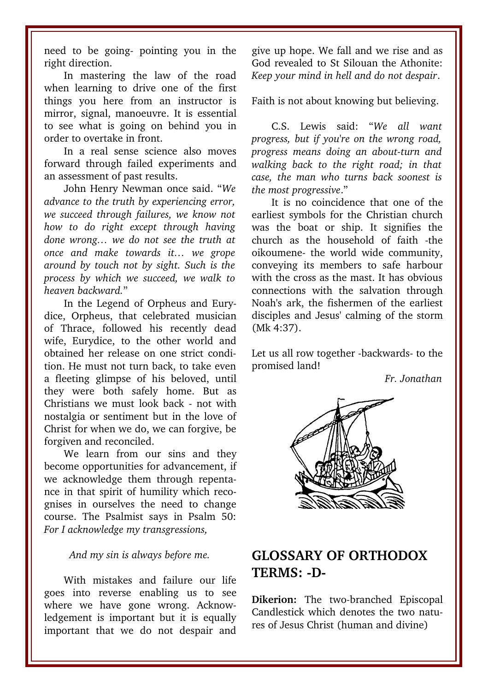need to be going- pointing you in the right direction.

In mastering the law of the road when learning to drive one of the first things you here from an instructor is mirror, signal, manoeuvre. It is essential to see what is going on behind you in order to overtake in front.

In a real sense science also moves forward through failed experiments and an assessment of past results.

John Henry Newman once said. "*We advance to the truth by experiencing error, we succeed through failures, we know not how to do right except through having done wrong… we do not see the truth at once and make towards it… we grope around by touch not by sight. Such is the process by which we succeed, we walk to heaven backward.*"

In the Legend of Orpheus and Eurydice, Orpheus, that celebrated musician of Thrace, followed his recently dead wife, Eurydice, to the other world and obtained her release on one strict condition. He must not turn back, to take even a fleeting glimpse of his beloved, until they were both safely home. But as Christians we must look back - not with nostalgia or sentiment but in the love of Christ for when we do, we can forgive, be forgiven and reconciled.

We learn from our sins and they become opportunities for advancement, if we acknowledge them through repentance in that spirit of humility which recognises in ourselves the need to change course. The Psalmist says in Psalm 50: *For I acknowledge my transgressions,* 

*And my sin is always before me.*

With mistakes and failure our life goes into reverse enabling us to see where we have gone wrong. Acknowledgement is important but it is equally important that we do not despair and give up hope. We fall and we rise and as God revealed to St Silouan the Athonite: *Keep your mind in hell and do not despair*.

Faith is not about knowing but believing.

C.S. Lewis said: "*We all want progress, but if you're on the wrong road, progress means doing an aboutturn and walking back to the right road; in that case, the man who turns back soonest is the most progressive*."

It is no coincidence that one of the earliest symbols for the Christian church was the boat or ship. It signifies the church as the household of faith the oikoumene the world wide community, conveying its members to safe harbour with the cross as the mast. It has obvious connections with the salvation through Noah's ark, the fishermen of the earliest disciples and Jesus' calming of the storm (Mk 4:37).

Let us all row together -backwards- to the promised land!

*Fr. Jonathan*



#### **GLOSSARY OF ORTHODOX** TERMS: -D-

**Dikerion:** The two-branched Episcopal Candlestick which denotes the two natures of Jesus Christ (human and divine)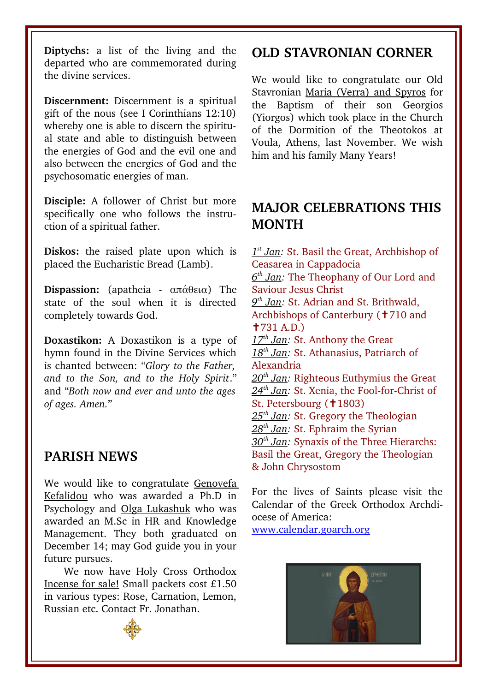Diptychs: a list of the living and the departed who are commemorated during the divine services.

**Discernment:** Discernment is a spiritual gift of the nous (see I Corinthians 12:10) whereby one is able to discern the spiritual state and able to distinguish between the energies of God and the evil one and also between the energies of God and the psychosomatic energies of man.

**Disciple:** A follower of Christ but more specifically one who follows the instruction of a spiritual father.

**Diskos:** the raised plate upon which is placed the Eucharistic Bread (Lamb).

**Dispassion:** (apatheia απάθεια) The state of the soul when it is directed completely towards God.

**Doxastikon:** A Doxastikon is a type of hymn found in the Divine Services which is chanted between: "*Glory to the Father, and to the Son, and to the Holy Spirit*." and "*Both now and ever and unto the ages of ages. Amen.*"

#### **PARISH NEWS**

We would like to congratulate Genovefa Kefalidou who was awarded a Ph.D in Psychology and Olga Lukashuk who was awarded an M.Sc in HR and Knowledge Management. They both graduated on December 14; may God guide you in your future pursues.

We now have Holy Cross Orthodox Incense for sale! Small packets cost £1.50 in various types: Rose, Carnation, Lemon, Russian etc. Contact Fr. Jonathan.

#### **OLD STAVRONIAN CORNER**

We would like to congratulate our Old Stavronian Maria (Verra) and Spyros for the Baptism of their son Georgios (Yiorgos) which took place in the Church of the Dormition of the Theotokos at Voula, Athens, last November. We wish him and his family Many Years!

#### **MAJOR CELEBRATIONS THIS MONTH**

 *1 st Jan:* St. Basil the Great, Archbishop of Ceasarea in Cappadocia  *6 th Jan:* The Theophany of Our Lord and Saviour Jesus Christ  *9 th Jan:* St. Adrian and St. Brithwald, Archbishops of Canterbury (†710 and ✝731 A.D.) 17<sup>th</sup> Jan: St. Anthony the Great  *18th Jan:* St. Athanasius, Patriarch of Alexandria  *20th Jan:* Righteous Euthymius the Great 24<sup>th</sup> Jan: St. Xenia, the Fool-for-Christ of St. Petersbourg (†1803)  *25th Jan:* St. Gregory the Theologian  *28th Jan:* St. Ephraim the Syrian  *30th Jan:* Synaxis of the Three Hierarchs: Basil the Great, Gregory the Theologian & John Chrysostom

For the lives of Saints please visit the Calendar of the Greek Orthodox Archdiocese of America:

[www.calendar.goarch.org](http://www.calendar.goarch.org/)